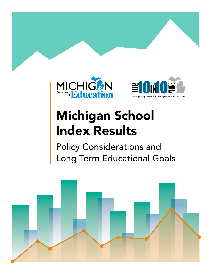



# Michigan School Index Results

Policy Considerations and Long-Term Educational Goals

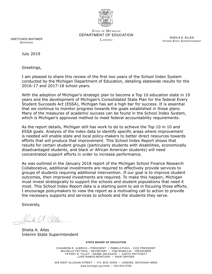

STATE OF MICHIGAN DEPARTMENT OF EDUCATION Lansing

SHEILA A. ALLES INTERIM STATE SUPERINTENDENT

GRETCHEN WHITMER **GOVERNOR** 

July 2019

Greetings,

I am pleased to share this review of the first two years of the School Index System conducted by the Michigan Department of Education, detailing statewide results for the 2016-17 and 2017-18 school years.

With the adoption of Michigan's strategic plan to become a Top 10 education state in 10 years and the development of Michigan's Consolidated State Plan for the federal Every Student Succeeds Act (ESSA), Michigan has set a high bar for success. It is essential that we continue to monitor progress towards the goals established in those plans. Many of the measures of academic success can be found in the School Index System, which is Michigan's approved method to meet federal accountability requirements.

As the report details, Michigan still has work to do to achieve the Top 10 in 10 and ESSA goals. Analysis of the index data to identify specific areas where improvement is needed will enable state and local policy-makers to better direct resources towards efforts that will produce that improvement. This School Index Report shows that results for certain student groups (particularly students with disabilities, economically disadvantaged students, and black or African American students) will need concentrated support efforts in order to increase performance.

As was outlined in the January 2018 report of the Michigan School Finance Research Collaborative, additional investments are required to effectively provide services to groups of students requiring additional intervention. If our goal is to improve student outcomes, then improved investments are required. To make this happen, Michigan must invest strategically to support the schools and student populations that need it most. This School Index Report data is a starting point to aid in focusing those efforts. I encourage policymakers to view the report as a motivating call to action to provide the necessary supports and services to schools and the students they serve.

Sincerely,

Sheile A. Seler

Sheila A. Alles Interim State Superintendent

#### **STATE BOARD OF EDUCATION**

CASANDRA E. ULBRICH – PRESIDENT • PAMELA PUGH – VICE PRESIDENT MICHELLE FECTEAU – SECRETARY • TOM MCMILLIN – TREASURER TIFFANY D. TILLEY – NASBE DELEGATE • JUDITH PRITCHETT LUPE RAMOS-MONTIGNY • NIKKI SNYDER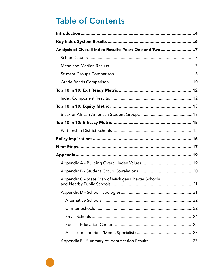# **Table of Contents**

| Analysis of Overall Index Results: Years One and Two7 |  |
|-------------------------------------------------------|--|
|                                                       |  |
|                                                       |  |
|                                                       |  |
|                                                       |  |
|                                                       |  |
|                                                       |  |
|                                                       |  |
|                                                       |  |
|                                                       |  |
|                                                       |  |
|                                                       |  |
|                                                       |  |
|                                                       |  |
|                                                       |  |
|                                                       |  |
|                                                       |  |
| Appendix C - State Map of Michigan Charter Schools    |  |
|                                                       |  |
|                                                       |  |
|                                                       |  |
|                                                       |  |
|                                                       |  |
|                                                       |  |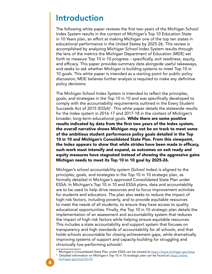### <span id="page-3-0"></span>Introduction

The following white paper reviews the first two years of the Michigan School Index System results in the context of Michigan's Top 10 Education State in 10 Years plan, an effort at making Michigan one of the top ten states in educational performance in the United States by 2025-26. This review is accomplished by analyzing Michigan School Index System results through the lens of the metrics the Michigan Department of Education (MDE) set forth to measure Top 10 in 10 progress – specifically, exit readiness, equity, and efficacy. This paper provides summary data alongside useful takeaways, and seeks to ask whether Michigan is building systems to meet Top 10 in 10 goals. This white paper is intended as a starting point for public policy discussion; MDE believes further analysis is required to make any definitive policy decisions.

The Michigan School Index System is intended to reflect the principles, goals, and strategies in the Top 10 in 10 and was specifically developed to comply with the accountability requirements outlined in the Every Student Succeeds Act of 2015 (ESSA)<sup>1</sup>. This white paper details the statewide results for the Index system in 2016-17 and 2017-18 in the context of Michigan's broader, long-term educational goals. While there are some positive results indicated by data from the first two years of the Index system, the overall narrative shows Michigan may not be on track to meet some of the ambitious student performance policy goals detailed in the Top 10 in 10 and Michigan's Consolidated State Plan. From this viewpoint, the Index appears to show that while strides have been made in efficacy, such work must intensify and expand, as outcomes on exit ready and equity measures have stagnated instead of showing the aggressive gains Michigan needs to meet its Top 10 in 10 goal by 2025-26.

Michigan's school accountability system (School Index) is aligned to the principles, goals, and strategies in the Top 10 in 10 strategic plan, as formally detailed in Michigan's approved Consolidated State Plan under ESSA. In Michigan's Top 10 in 10 and ESSA plans, data and accountability are to be used to help drive resources and to focus improvement activities for students and educators. The plan also seeks to reduce the impact of high-risk factors, including poverty, and to provide equitable resources to meet the needs of all students, to ensure they have access to quality educational opportunities. Finally, the Top 10 in 10 strategic plan details the implementation of an assessment and accountability system that reduces the impact of high-risk factors while helping ensure equitable resources. This includes a state accountability and support system that focuses on transparency and high standards of accountability for all schools, and that holds schools accountable for closing achievement gaps, while dramatically improving systems of support and capacity-building for struggling and chronically low-performing schools2 .

<sup>&</sup>lt;sup>1</sup> Michigan's Consolidated State Plan under ESSA can be viewed at <u>https://www.michigan.gov/essa</u>

<sup>2</sup> Detailed information on Michigan's Top 10 in 10 strategic plan can be found at [https://www.](https://www.michigan.gov/mde/0,4615,7-140-80635---,00.html) [michigan.gov/top10in10](https://www.michigan.gov/mde/0,4615,7-140-80635---,00.html)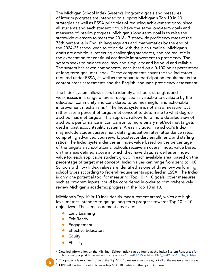The Michigan School Index System's long-term goals and measures of interim progress are intended to support Michigan's Top 10 in 10 strategies as well as ESSA principles of reducing achievement gaps, since all students and each student group have the same long-term goals and measures of interim progress. Michigan's long-term goal is to raise the statewide averages to meet the 2016-17 statewide proficiency rates at the 75th percentile in English language arts and mathematics by the end of the 2024-25 school year, to coincide with the plan timeline. Michigan's goals are ambitious, reflecting challenging standards, and are realistic in the expectation for continual academic improvement to proficiency. The system seeks to balance accuracy and simplicity and be valid and reliable. The system has seven components, each based on a 0-100 point percentage of long term goal-met index. These components cover the five indicators required under ESSA, as well as the separate participation requirements for content areas assessments and the English language proficiency assessment.

The Index system allows users to identify a school's strengths and weaknesses in a range of areas recognized as valuable to evaluate by the education community and considered to be meaningful and actionable improvement mechanisms  $^3.$  The Index system is not a raw measure, but rather uses a percent of target met concept to determine to what degree a school has met targets. This approach allows for a more detailed view of a school's performance in comparison to more binary met/not met targets used in past accountability systems. Areas included in a school's Index may include student assessment data, graduation rates, attendance rates, completing advanced coursework, postsecondary enrollment, and staffing ratios. The Index system derives an Index value based on the percentage of the targets a school attains. Schools receive an overall Index value based on the areas defined above in which they have data, as well as an Index value for each applicable student group in each available area, based on the percentage of target met concept. Index values can range from zero to 100. Schools with low Index values are identified as one of three low-performing school types according to federal requirements specified in ESSA. The Index is only one potential tool for measuring Top 10 in 10 goals; other measures, such as program inputs, could be considered in order to comprehensively review Michigan's academic progress in the Top 10 in 10.

Michigan's Top 10 in 10 includes six measurement areas<sup>4</sup>, which are highlevel metrics intended to gauge long-term progress towards Top 10 in 10 objectives<sup>5</sup>. These measurement areas are:

- Early Learning
- Exit Ready
- **Engagement**
- **Effective Educators**
- **Equity**
- **Efficacy**

5

5

- $^4\,$  This paper only examines some of the Top 10 in 10 measurement areas, not all of the measurement areas.
	- MDE will be transitioning to new Top 10 in 10 metrics in the upcoming year.

<sup>3</sup> Detailed information on the Michigan School Index can be found at the Index System Resources for Schools webpage at [https://www.michigan.gov/mde/0,4615,7-140-81376\\_59490-251853--,00.html](https://www.michigan.gov/mde/0,4615,7-140-81376_59490-251853--,00.html)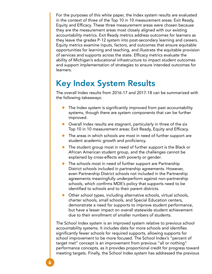<span id="page-5-0"></span>For the purposes of this white paper, the Index system results are evaluated in the context of three of the Top 10 in 10 measurement areas: Exit Ready, Equity and Efficacy. These three measurement areas were chosen because they are the measurement areas most closely aligned with our existing accountability metrics. Exit Ready metrics address outcomes for learners as they leave the grades P-12 system into post-secondary learning and careers. Equity metrics examine inputs, factors, and outcomes that ensure equitable opportunities for learning and teaching, and illustrate the equitable provision of services and supports across the state. Efficacy metrics evaluate the ability of Michigan's educational infrastructure to impact student outcomes and support implementation of strategies to ensure intended outcomes for learners.

### Key Index System Results

The overall Index results from 2016-17 and 2017-18 can be summarized with the following takeaways:

- The Index system is significantly improved from past accountability systems, though there are system components that can be further improved.
- Overall Index results are stagnant, particularly in three of the six Top 10 in 10 measurement areas: Exit Ready, Equity and Efficacy.
- The areas in which schools are most in need of further support are student academic growth and proficiency.
- The student group most in need of further support is the Black or African American student group, and the challenges cannot be explained by cross-effects with poverty or gender.
- The schools most in need of further support are Partnership District schools included in partnership agreements. However, even Partnership District schools not included in the Partnership agreements meaningfully underperform against non-partnership schools, which confirms MDE's policy that supports need to be identified to schools and to their parent districts.
- Other school types, including alternative schools, virtual schools, charter schools, small schools, and Special Education centers, demonstrate a need for supports to improve student performance, but have a lesser impact on overall statewide student achievement due to their enrollment of smaller numbers of students.

The School Index system is an improved system relative to previous school accountability systems. It includes data for more schools and identifies significantly fewer schools for required supports, allowing supports for school improvement to be more focused. The School Index's "percent of target met" concept is an improvement from previous "all or nothing" performance concepts, as it provides proportional credit for progress toward meeting targets. Finally, the School Index system has addressed the previous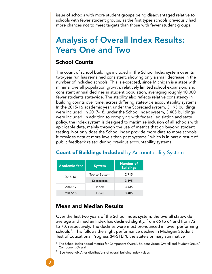<span id="page-6-0"></span>issue of schools with more student groups being disadvantaged relative to schools with fewer student groups, as the first types schools previously had more chances not to meet targets than those with fewer student groups.

### Analysis of Overall Index Results: Years One and Two

### School Counts

The count of school buildings included in the School Index system over its two-year run has remained consistent, showing only a small decrease in the number of included schools. This is expected, since Michigan is a state with minimal overall population growth, relatively limited school expansion, and consistent annual declines in student population, averaging roughly 10,000 fewer students statewide. The stability also reflects relative consistency in building counts over time, across differing statewide accountability systems. In the 2015-16 academic year, under the Scorecard system, 3,195 buildings were included; in 2017-18, under the School Index system, 3,405 buildings were included. In addition to complying with federal legislation and state policy, the Index system is designed to maximize inclusion of all schools with applicable data, mainly through the use of metrics that go beyond student testing. Not only does the School Index provide more data to more schools, it provides data at more levels than past systems, $^{\rm 6}$  which is in part a result of public feedback raised during previous accountability systems.

| <b>Academic Year</b> | <b>System</b> | <b>Number of</b><br><b>Buildings</b> |
|----------------------|---------------|--------------------------------------|
| 2015-16              | Top-to-Bottom | 2,715                                |
|                      | Scorecards    | 3,195                                |
| 2016-17              | Index         | 3,435                                |
| 2017-18              | Index         | 3,405                                |

### **Count of Buildings Included** by Accountability System

### Mean and Median Results

Over the first two years of the School Index system, the overall statewide average and median Index has declined slightly, from 66 to 64 and from 72 to 70, respectively. The declines were most pronounced in lower performing schools 7 . This follows the slight performance decline in Michigan Student Test of Educational Progress (M-STEP), the state's primary summative

 $^{\rm 6}$  The School Index added metrics for Component Overall, Student Group Overall and Student Group/ Component Overall.

 $^7$  See Appendix A for distributions of overall building index values.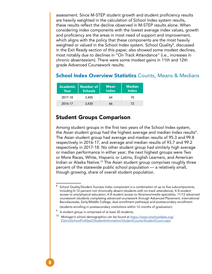<span id="page-7-0"></span>assessment. Since M-STEP student growth and student proficiency results are heavily weighted in the calculation of School Index system results, these results reflect the decline observed in M-STEP results alone. When considering index components with the lowest average index values, growth and proficiency are the areas in most need of support and improvement, which aligns with the policy that these components are the most heavily weighted or valued in the School Index system. School Quality<sup>8</sup>, discussed in the Exit Ready section of this paper, also showed some modest declines, most notably due to declines in "On Track Attendance" (i.e., increases in chronic absenteeism). There were some modest gains in 11th and 12th grade Advanced Coursework results.

#### **School Index Overview Statistics Counts, Means & Medians**

| <b>Academic</b><br>$\textsf{Year}^\dagger$ | <b>Number of</b><br><b>Schools</b> | <b>Mean</b><br><b>Index</b> | <b>Median</b><br><b>Index</b> |
|--------------------------------------------|------------------------------------|-----------------------------|-------------------------------|
| 2017-18                                    | 3,405                              | 64                          | 70                            |
| 2016-17                                    | 3,435                              | 66                          | 72                            |

### Student Groups Comparison

Among student groups in the first two years of the School Index system, the Asian student group had the highest average and median Index results $^{\rm 9}.$ The Asian student group had average and median results of 95.3 and 99.8 respectively in 2016-17, and average and median results of 93.7 and 99.2 respectively in 2017-18. No other student group had similarly high average or median performance in either year; the next highest groups were Two or More Races, White, Hispanic or Latino, English Learners, and American Indian or Alaska Native.10 The Asian student group comprises roughly three percent of the statewide public school population — a relatively small, though growing, share of overall student population.

<sup>8</sup> School Quality/Student Success Index component is a combination of up to five subcomponents, including K-12 percent not chronically absent (students with on-track attendance), K-8 student access to arts/physical education, K-8 student access to librarians/media specialists, 11/12 advanced coursework (students completing advanced coursework through Advanced Placement, International Baccalaureate, Early/Middle College, dual enrollment pathways) and postsecondary enrollment

<sup>(</sup>students enrolling in postsecondary institutions within 12 months of graduation).

 $^9\,$  A student group is comprised of at least 30 students.

<sup>&</sup>lt;sup>10</sup> Michigan's school demographics can be found at [https://www.mischooldata.org/](https://www.mischooldata.org/DistrictSchoolProfiles2/StudentInformation/StudentCounts/StudentCount.aspx) [DistrictSchoolProfiles2/StudentInformation/StudentCounts/StudentCount.aspx](https://www.mischooldata.org/DistrictSchoolProfiles2/StudentInformation/StudentCounts/StudentCount.aspx)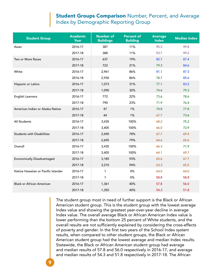### **Student Groups Comparison Number, Percent, and Average** Index by Demographic Reporting Group

| <b>Student Group</b>                | <b>Academic</b><br><b>Year</b> | <b>Number of</b><br><b>Buildings</b> | <b>Percent of</b><br><b>Building</b> | <b>Average</b><br><b>Index</b> | <b>Median Index</b> |
|-------------------------------------|--------------------------------|--------------------------------------|--------------------------------------|--------------------------------|---------------------|
| Asian                               | 2016-17                        | 387                                  | 11%                                  | 95.3                           | 99.8                |
|                                     | 2017-18                        | 388                                  | 11%                                  | 93.7                           | 99.2                |
| Two or More Races                   | 2016-17                        | 637                                  | 19%                                  | 82.7                           | 87.4                |
| <b>Two or More Races</b>            | 2017-18                        | 723                                  | 21%                                  | 79.3                           | 84.6                |
| White                               | 2016-17                        | 2,961                                | 86%                                  | 81.1                           | 87.3                |
|                                     | 2016-18                        | 2,930                                | 86%                                  | 78.7                           | 85.6                |
| Hispanic or Latino                  | 2016-17                        | 1,073                                | 31%                                  | 77.1                           | 83.2                |
| lispanic or Latino                  | 2017-18                        | 1,090                                | 32%                                  | 74.6                           | 79.3                |
| <b>English Learners</b>             | 2016-17                        | 772                                  | 22%                                  | 73.6                           | 78.6                |
|                                     | 2017-18                        | 790                                  | 23%                                  | 71.9                           | 76.4                |
| American Indian or Alaska Native    | 2016-17                        | 47                                   | 1%                                   | 74.8                           | 77.8                |
| American Indian or Alaska Native    | 2017-18                        | 44                                   | 1%                                   | 67.7                           | 73.6                |
| All Students                        | 2016-17                        | 3,435                                | 100%                                 | 68.2                           | 75.2                |
|                                     | 2017-18                        | 3,405                                | 100%                                 | 66.0                           | 72.9                |
| <b>Students with Disabilities</b>   | 2016-17                        | 2,690                                | 78%                                  | 67.7                           | 69.4                |
| Students with Disabilities          | 2017-18                        | 2,695                                | 79%                                  | 64.6                           | 65.6                |
| Overall                             | 2016-17                        | 3,435                                | 100%                                 | 66.3                           | 71.9                |
|                                     | 2017-18                        | 3,405                                | 100%                                 | 64.1                           | 69.7                |
| <b>Economically Disadvantaged</b>   | 2016-17                        | 3,185                                | 93%                                  | 65.6                           | 67.7                |
| Economically Disadvantaged          | 2017-18                        | 3,210                                | 94%                                  | 63.3                           | 65.5                |
| Native Hawaiian or Pacific Islander | 2016-17                        | 1                                    | 0%                                   | 64.0                           | 64.0                |
|                                     | 2017-18                        | 1                                    | 0%                                   | 58.8                           | 58.8                |
| <b>Black or African American</b>    | 2016-17                        | 1,361                                | 40%                                  | 57.8                           | 56.0                |
| Black or African American           | 2017-18                        | 1,355                                | 40%                                  | 54.3                           | 51.8                |

The student group most in need of further support is the Black or African American student group. This is the student group with the lowest average Index value and showing the greatest year-over-year decline in average Index value. The overall average Black or African American Index value is lower performing than the bottom 25 percent of White students, and the overall results are not sufficiently explained by considering the cross-effects of poverty and gender. In the first two years of the School Index system results, when compared to other student groups, the Black or African American student group had the lowest average and median Index results. Statewide, the Black or African American student group had average and median results of 57.8 and 56.0 respectively in 2016-17, and average and median results of 54.3 and 51.8 respectively in 2017-18. The African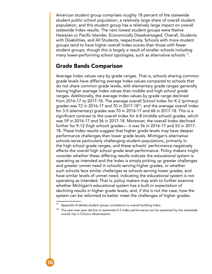<span id="page-9-0"></span>American student group comprises roughly 18 percent of the statewide student public school population, a relatively large share of overall student population, and this student group has a relatively large impact on overall statewide Index results. The next lowest student groups were Native Hawaiian or Pacific Islander, Economically Disadvantaged, Overall, Students with Disabilities, and All Students, respectively. Schools with more student groups tend to have higher overall Index scores than those with fewer student groups, though this is largely a result of smaller schools including many lower-performing school typologies, such as alternative schools 11.

#### Grade Bands Comparison

Average Index values vary by grade ranges. That is, schools sharing common grade levels have differing average Index values compared to schools that do not share common grade levels, with elementary grade ranges generally having higher average Index values than middle and high school grade ranges. Additionally, the average Index values by grade range declined from 2016-17 to 2017-18. The average overall School Index for K-2 (primary) grades was 72 in 2016-17 and 70 in 2017-1812, and the average overall Index for 3-5 (elementary) grades was 70 in 2016-17 and 68 in 2017-18. This is a significant contrast to the overall Index for 6-8 (middle school) grades, which was 59 in 2016-17 and 56 in 2017-18. Moreover, the overall Index declined further for 9-12 (high school) grades— it was 56 in 2016-17 and 53 in 2017- 18. These Index results suggest that higher grade levels may have deeper performance challenges than lower grade levels. Michigan's alternative schools serve particularly challenging student populations, primarily in the high school grade ranges, and these schools' performance negatively affects the overall high school grade level performance. Policy makers might consider whether these differing results indicate the educational system is operating as intended and the Index is simply picking up greater challenges and greater unmet need in schools serving higher grades, or whether such schools face similar challenges as schools serving lower grades, and have similar levels of unmet need, indicating the educational system is not operating as intended. That is, policy makers may wish to further examine whether Michigan's educational system has a built-in expectation of declining results in higher grade levels, and, if this is not the case, how the system can be reformed to better meet the challenges of higher grades.

Appendix B details student group correlations to overall building Index.

<sup>&</sup>lt;sup>12</sup> The year-over-year decline in statewide K-2 Index performance can be explained by the statewide overall rise in Chronic Absenteeism.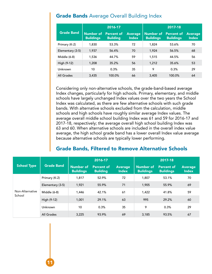### **Grade Bands** Average Overall Building Index

|                   |                                      | 2016-17                       |                                | 2017-18                              |                                       |                                |  |
|-------------------|--------------------------------------|-------------------------------|--------------------------------|--------------------------------------|---------------------------------------|--------------------------------|--|
| <b>Grade Band</b> | <b>Number of</b><br><b>Buildings</b> | Percent of<br><b>Building</b> | <b>Average</b><br><b>Index</b> | <b>Number of</b><br><b>Buildings</b> | <b>Percent of</b><br><b>Buildings</b> | <b>Average</b><br><b>Index</b> |  |
| Primary (K-2)     | 1,830                                | 53.3%                         | 72                             | 1,824                                | 53.6%                                 | 70                             |  |
| Elementary (3-5)  | 1,937                                | 56.4%                         | 70                             | 1,924                                | 56.5%                                 | 68                             |  |
| Middle (6-8)      | 1,536                                | 44.7%                         | 59                             | 1,515                                | 44.5%                                 | 56                             |  |
| High (9-12)       | 1,208                                | 35.2%                         | 56                             | 1,212                                | 35.6%                                 | 53                             |  |
| Unknown           | 10                                   | 0.3%                          | 35                             | 9                                    | 0.3%                                  | 29                             |  |
| All Grades        | 3.435                                | 100.0%                        | 66                             | 3,405                                | 100.0%                                | 64                             |  |

Considering only non-alternative schools, the grade-band-based average Index changes, particularly for high schools. Primary, elementary, and middle schools have largely unchanged Index values over the two years the School Index was calculated, as there are few alternative schools with such grade bands. With alternative schools excluded from the calculation, middle schools and high schools have roughly similar average Index values. The average overall middle school building Index was 61 and 59 for 2016-17 and 2017-18, respectively; the average overall high school building Index was 63 and 60. When alternative schools are included in the overall index value average, the high school grade band has a lower overall Index value average because alternative schools are typically lower performing.

### Grade Bands, Filtered to Remove Alternative Schools

|                           |                   |                               | 2016-17                              |                                | 2017-18                       |                                       |                                |
|---------------------------|-------------------|-------------------------------|--------------------------------------|--------------------------------|-------------------------------|---------------------------------------|--------------------------------|
| <b>School Type</b>        | <b>Grade Band</b> | Number of<br><b>Buildings</b> | <b>Percent of</b><br><b>Building</b> | <b>Average</b><br><b>Index</b> | Number of<br><b>Buildings</b> | <b>Percent of</b><br><b>Buildings</b> | <b>Average</b><br><b>Index</b> |
|                           | Primary (K-2)     | 1,817                         | 52.9%                                | 72                             | 1,807                         | 53.1%                                 | 70                             |
|                           | Elementary (3-5)  | 1,921                         | 55.9%                                | 71                             | 1,905                         | 55.9%                                 | 69                             |
| Non-Alternative<br>School | Middle (6-8)      | 1,446                         | 42.1%                                | 61                             | 1,422                         | 41.8%                                 | 59                             |
|                           | High (9-12)       | 1,001                         | 29.1%                                | 63                             | 995                           | 29.2%                                 | 60                             |
|                           | Unknown           | 10                            | 0.3%                                 | 35                             | 9                             | 0.3%                                  | 29                             |
|                           | All Grades        | 3,225                         | 93.9%                                | 69                             | 3,185                         | 93.5%                                 | 67                             |

11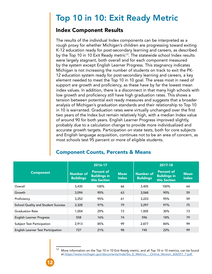## <span id="page-11-0"></span>Top 10 in 10: Exit Ready Metric

### Index Component Results

The results of the individual Index components can be interpreted as a rough proxy for whether Michigan's children are progressing toward exiting K-12 education ready for post-secondary learning and careers, as described by the Top 10 in 10 Exit Ready metric<sup>13</sup>. The statewide school Index results were largely stagnant, both overall and for each component measured by the system except English Learner Progress. This stagnancy indicates Michigan is not increasing the number of students on track to exit the PK-12 education system ready for post-secondary learning and careers, a key element needed to meet the Top 10 in 10 goal. The areas most in need of support are growth and proficiency, as these have by far the lowest mean index values. In addition, there is a disconnect in that many high schools with low growth and proficiency still have high graduation rates. This shows a tension between potential exit ready measures and suggests that a broader analysis of Michigan's graduation standards and their relationship to Top 10 in 10 is warranted. Graduation rates were virtually unchanged over the first two years of the Index but remain relatively high, with a median Index value of around 90 for both years. English Learner Progress improved slightly, probably due to a calculation change to provide more individualized and accurate growth targets. Participation on state tests, both for core subjects and English language acquisition, continues not to be an area of concern, as most schools test 95 percent or more of eligible students.

|                                    |                               | 2016-17                                                  |                             | 2017-18                              |                                                          |                             |  |
|------------------------------------|-------------------------------|----------------------------------------------------------|-----------------------------|--------------------------------------|----------------------------------------------------------|-----------------------------|--|
| <b>Component</b>                   | Number of<br><b>Buildings</b> | <b>Percent of</b><br><b>Buildings in</b><br>this Section | <b>Mean</b><br><b>Index</b> | <b>Number of</b><br><b>Buildings</b> | <b>Percent of</b><br><b>Buildings in</b><br>this Section | <b>Mean</b><br><b>Index</b> |  |
| Overall                            | 3,435                         | 100%                                                     | 66                          | 3,405                                | 100%                                                     | 64                          |  |
| Growth                             | 3,094                         | 90%                                                      | 63                          | 3,068                                | 90%                                                      | 59                          |  |
| Proficiency                        | 3,252                         | 95%                                                      | 61                          | 3,223                                | 95%                                                      | 59                          |  |
| School Quality and Student Success | 3,328                         | 97%                                                      | 79                          | 3,297                                | 97%                                                      | 75                          |  |
| <b>Graduation Rate</b>             | 1,004                         | 29%                                                      | 73                          | 1,005                                | 30%                                                      | 73                          |  |
| <b>English Learner Progress</b>    | 558                           | 16%                                                      | 74                          | 596                                  | 18%                                                      | 79                          |  |
| Subject Test Participation         | 2,913                         | 85%                                                      | 99                          | 2,877                                | 84%                                                      | 99                          |  |
| English Learner Test Participation | 727                           | 21%                                                      | 98                          | 745                                  | 22%                                                      | 99                          |  |

### Component Counts, Percents & Means

More information on the Top 10 in 10 Exit Ready metric, and all Top 10 in 10 metrics, can be found a[t https://www.michigan.gov/documents/mde/Six\\_E\\_Metrics\\_-\\_Online\\_Version\\_606551\\_7.pdf](https://www.michigan.gov/documents/mde/Six_E_Metrics_-_Online_Version_606551_7.pdf)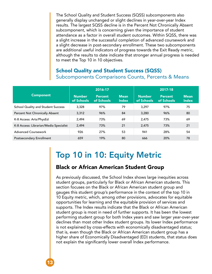<span id="page-12-0"></span>The School Quality and Student Success (SQSS) subcomponents also generally display unchanged or slight declines in year-over-year Index results. The largest SQSS decline is in the Percent Not Chronically Absent subcomponent, which is concerning given the importance of student attendance as a factor in overall student outcomes. Within SQSS, there was a slight increase in the successful completion of advanced coursework and a slight decrease in post-secondary enrollment. These two subcomponents are additional useful indicators of progress towards the Exit Ready metric, although the results to date indicate that stronger annual progress is needed to meet the Top 10 in 10 objectives.

### School Quality and Student Success (SQSS) Subcomponents Comparisons Counts, Percents & Means

|                                           |                             | 2016-17                      |                             | 2017-18                     |                              |                             |  |
|-------------------------------------------|-----------------------------|------------------------------|-----------------------------|-----------------------------|------------------------------|-----------------------------|--|
| <b>Component</b>                          | <b>Number</b><br>of Schools | <b>Percent</b><br>of Schools | <b>Mean</b><br><b>Index</b> | <b>Number</b><br>of Schools | <b>Percent</b><br>of Schools | <b>Mean</b><br><b>Index</b> |  |
| <b>School Quality and Student Success</b> | 3,328                       | 97%                          | 79                          | 3.297                       | 97%                          | 75                          |  |
| Percent Not Chronically Absent            | 3,312                       | 96%                          | 84                          | 3,280                       | 96%                          | 80                          |  |
| K-8 Access: Arts/PhysEd                   | 2.494                       | 73%                          | 69                          | 2.475                       | 73%                          | 69                          |  |
| K-8 Access: Librarian/Media Specialist    | 2,494                       | 73%                          | 21                          | 2,475                       | 73%                          | 21                          |  |
| <b>Advanced Coursework</b>                | 926                         | 27%                          | 53                          | 941                         | 28%                          | 54                          |  |
| Postsecondary Enrollment                  | 659                         | 19%                          | 80                          | 666                         | 20%                          | 78                          |  |

### Top 10 in 10: Equity Metric

### Black or African American Student Group

As previously discussed, the School Index shows large inequities across student groups, particularly for Black or African American students. This section focuses on the Black or African American student group and gauges this student group's performance in the context of the top 10 in 10 Equity metric, which, among other provisions, advocates for equitable opportunities for learning and the equitable provision of services and supports. The Index results indicate that the Black or African American student group is most in need of further supports. It has been the lowest performing student group for both Index years and saw larger year-over-year declines than most other Index student groups. Its lower Index performance is not explained by cross-effects with economically disadvantaged status; that is, even though the Black or African American student group has a higher share of Economically Disadvantaged (ED) students, that status does not explain the significantly lower overall Index performance.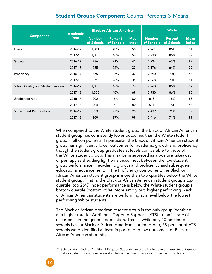### **Student Groups Component Counts, Percents & Means**

|                                           | <b>Academic</b> |                             | <b>Black or African American</b> |                             | <b>White</b>                |                              |                             |
|-------------------------------------------|-----------------|-----------------------------|----------------------------------|-----------------------------|-----------------------------|------------------------------|-----------------------------|
| <b>Component</b>                          | Year            | <b>Number</b><br>of Schools | <b>Percent</b><br>of Schools     | <b>Mean</b><br><b>Index</b> | <b>Number</b><br>of Schools | <b>Percent</b><br>of Schools | <b>Mean</b><br><b>Index</b> |
| Overall                                   | 2016-17         | 1,361                       | 40%                              | 58                          | 2,961                       | 86%                          | 81                          |
|                                           | 2017-18         | 1,355                       | 40%                              | 54                          | 2,930                       | 86%                          | 79                          |
| Growth                                    | 2016-17         | 736                         | 21%                              | 42                          | 2,224                       | 65%                          | 82                          |
|                                           | 2017-18         | 735                         | 22%                              | 37                          | 2,176                       | 64%                          | 79                          |
| Proficiency                               | 2016-17         | 875                         | 25%                              | 37                          | 2,390                       | 70%                          | 83                          |
|                                           | 2017-18         | 871                         | 26%                              | 35                          | 2,368                       | 70%                          | 81                          |
| <b>School Quality and Student Success</b> | 2016-17         | 1,358                       | 40%                              | 74                          | 2,960                       | 86%                          | 87                          |
|                                           | 2017-18         | 1,355                       | 40%                              | 69                          | 2,930                       | 86%                          | 85                          |
| <b>Graduation Rate</b>                    | 2016-17         | 202                         | 6%                               | 80                          | 613                         | 18%                          | 88                          |
|                                           | 2017-18         | 204                         | 6%                               | 80                          | 611                         | 18%                          | 88                          |
| Subject Test Participation                | 2016-17         | 923                         | 27%                              | 98                          | 2,439                       | 71%                          | 99                          |
|                                           | 2017-18         | 909                         | 27%                              | 99                          | 2,416                       | 71%                          | 99                          |

When compared to the White student group, the Black or African American student group has consistently lower outcomes than the White student group in all components. In particular, the Black or African American student group has significantly lower outcomes for academic growth and proficiency, though the student group graduates at levels comparable to those of the White student group. This may be interpreted as a positive takeaway, or perhaps as shedding light on a disconnect between the low student group performance in academic growth and proficiency and subsequent educational advancement. In the Proficiency component, the Black or African American student group is more than two quartiles below the White student group. That is, the Black or African American student group's top quartile (top 25%) Index performance is below the White student group's bottom quartile (bottom 25%). More simply put, higher performing Black or African American students are performing at a level below the lowest performing White students.

The Black or African American student group is the only group identified at a higher rate for Additional Targeted Supports (ATS)<sup>14</sup> than its rate of occurrence in the general population. That is, while only 40 percent of schools have a Black or African American student group, 58 percent of ATS schools were identified at least in part due to low outcomes for Black or African American students.

Schools identified for Additional Targeted Supports are those having one or more student groups with a student group Index value at or below the lowest performing 5 percent of schools.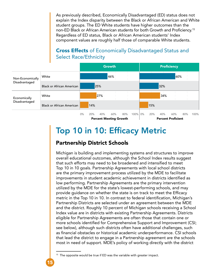<span id="page-14-0"></span>As previously described, Economically Disadvantaged (ED) status does not explain the Index disparity between the Black or African American and White student groups. The ED White students have higher outcomes than the non-ED Black or African American students for both Growth and Proficiency.<sup>15</sup> Regardless of ED status, Black or African American students' Index component values are roughly half those of comparable White students.

### Cross Effects of Economically Disadvantaged Status and Select Race/Ethnicity



### Top 10 in 10: Efficacy Metric

### Partnership District Schools

Michigan is building and implementing systems and structures to improve overall educational outcomes, although the School Index results suggest that such efforts may need to be broadened and intensified to meet Top 10 in 10 goals. Partnership Agreements with local school districts are the primary improvement process utilized by the MDE to facilitate improvements in student academic achievement in districts identified as low performing. Partnership Agreements are the primary intervention utilized by the MDE for the state's lowest-performing schools, and may provide guidance on whether the state is on track to meet the Efficacy metric in the Top 10 in 10. In contrast to federal identification, Michigan's Partnership Districts are selected under an agreement between the MDE and the district. Roughly 10 percent of Michigan schools receiving a School Index value are in districts with existing Partnership Agreements. Districts eligible for Partnership Agreements are often those that contain one or more schools identified for Comprehensive Support and Improvement (CSI; see below), although such districts often have additional challenges, such as financial obstacles or historical academic underperformance. CSI schools that lead the district to engage in a Partnership agreement are the schools most in need of support. MDE's policy of working directly with the district

<sup>&</sup>lt;sup>15</sup> The opposite would be true if ED was the variable with greater impact.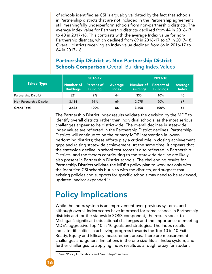<span id="page-15-0"></span>of schools identified as CSI is arguably validated by the fact that schools in Partnership districts that are not included in the Partnership agreement still meaningfully underperform schools from non-partnership districts. The average Index value for Partnership districts declined from 44 in 2016-17 to 40 in 2017-18. This contrasts with the average Index value for non-Partnership districts, which declined from 69 in 2016-17 to 67 in 2017-18. Overall, districts receiving an Index value declined from 66 in 2016-17 to 64 in 2017-18.

### Partnership District vs Non-Partnership District **Schools Comparison** Overall Building Index Values

|                             |                                                                                       | $2016 - 17$ |                | 2017-18                                                                       |      |                                |  |
|-----------------------------|---------------------------------------------------------------------------------------|-------------|----------------|-------------------------------------------------------------------------------|------|--------------------------------|--|
| <b>School Type</b>          | <b>Number of</b><br>Percent of<br><b>Buildings</b><br><b>Building</b><br><b>Index</b> |             | <b>Average</b> | <b>Number of</b><br><b>Percent of</b><br><b>Buildings</b><br><b>Buildings</b> |      | <b>Average</b><br><b>Index</b> |  |
| <b>Partnership District</b> | 321                                                                                   | 9%          | 44             | 330                                                                           | 10%  | 40                             |  |
| Non-Partnership District    | 3,114                                                                                 | 91%         | 69             | 3,075                                                                         | 90%  | 67                             |  |
| <b>Grand Total</b>          | 3,435                                                                                 | 100%        | 66             | 3,405                                                                         | 100% | 64                             |  |

The Partnership District Index results validate the decision by the MDE to identify overall districts rather than individual schools, as the most serious challenges appear to be districtwide. The overall declines in statewide Index values are reflected in the Partnership District declines. Partnership Districts will continue to be the primary MDE intervention in lowerperforming districts; these efforts play a critical role in closing achievement gaps and raising statewide achievement. At the same time, it appears that the statewide decline in school test scores is also reflected in Partnership Districts, and the factors contributing to the statewide decline are likely also present in Partnership District schools. The challenging results for Partnership Districts validate the MDE's policy plan to work not only with the identified CSI schools but also with the districts, and suggest that existing policies and supports for specific schools may need to be reviewed, updated, and/or expanded 16.

### Policy Implications

While the Index system is an improvement over previous systems, and although overall Index scores have improved for some schools in Partnership districts and for the statewide SQSS component, the results speak to Michigan's significant educational challenges and the importance of meeting MDE's aggressive Top 10 in 10 goals and strategies. The Index results indicate difficulties in achieving progress towards the Top 10 in 10 Exit Ready, Equity and Efficacy measurement areas. There are measurement challenges and general limitations in the one-size-fits-all Index system, and further challenges to applying Index results as a rough proxy for student

<sup>&</sup>lt;sup>16</sup> See "Policy Implications and Next Steps" section.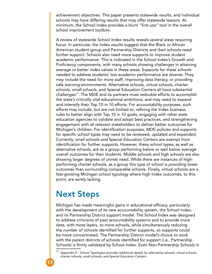<span id="page-16-0"></span>achievement objectives. This paper presents statewide results, and individual schools may have differing results that may offer statewide lessons. At minimum, the School Index provides a blunt "first-use" tool in the overall school improvement toolbox.

A review of statewide School Index results reveals several areas requiring focus. In particular, the Index results suggest that the Black or African American student group and Partnership Districts and their schools need further support. Schools also need more supports to improve student academic performance. This is indicated in the School Index's Growth and Proficiency components, with many schools showing challenges in attaining average or better index values in these areas. Supports for these schools needed to address students' low academic performance are diverse. They may include the need for more staff, improving data literacy, or providing safe learning environments. Alternative schools, virtual schools, charter schools, small schools, and Special Education Centers all have substantial challenges17. The MDE and its partners must redouble efforts to accomplish the state's critically vital educational ambitions, and may need to expand and intensify their Top 10 in 10 efforts. For accountability purposes, such efforts may include, but are not limited to, refining the Index business rules to better align with Top 10 in 10 goals, engaging with other state education agencies to validate and adopt best practices, and strengthening engagement with all relevant stakeholders to deliver better outcomes for Michigan's children. For identification purposes, MDE policies and supports for specific school types may need to be reviewed, updated and expanded. Currently, small schools and Special Education Centers are exempt from identification for further supports. However, these school types, as well as alternative schools, are as a group performing below or well below average overall outcomes for their students. Middle schools and high schools are also showing larger degrees of unmet need. While there are instances of highperforming charter schools, as a group this type of school is providing lower outcomes than surrounding comparable schools. Finally, virtual schools are a fast-growing Michigan school typology where high Index outcomes, to this point, are sorely lacking.

### Next Steps

Michigan has made meaningful gains in educational efficacy, particularly with the development of its new accountability system, the School Index, and its Partnership District support model. The School Index was designed to address criticisms of past accountability systems and to provide more data, with more layers, to more schools, while simultaneously reducing the number of schools identified for further supports, so supports could be more concentrated. The Partnership District model's choice to work with the parent districts of schools identified for support (i.e., Partnership Schools) is firmly validated by School Index. Even Non-Partnership Schools in

Appendix D - School Typologies provides additional details for alternative schools, virtual schools, charter schools, small schools, and Special Education Centers.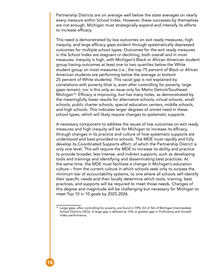Partnership Districts are on average well below the state averages on nearly every measure within School Index. However, these successes by themselves are not enough. Michigan must strategically expand and intensify its efforts to increase efficacy.

This need is demonstrated by low outcomes on exit ready measures, high inequity, and large efficacy gaps evident through systematically depressed outcomes for multiple school types. Outcomes for the exit ready measures in the School Index are stagnant or declining, both overall and in most measures. Inequity is high, with Michigan's Black or African American student group having outcomes at least one to two quartiles below the White student group on most measures (i.e., the top 75 percent of Black or African American students are performing below the average or bottom 25 percent of White students). This racial gap is not explained by correlations with poverty (that is, even after controlling for poverty, large gaps remain), nor is this only an issue only for Metro Detroit/Southeast Michigan<sup>18</sup>. Efficacy is improving, but has many holes, as demonstrated by the meaningfully lower results for alternative schools, virtual schools, small schools, public charter schools, special education centers, middle schools, and high schools. This indicates larger degrees of unmet need in these school types, which will likely require changes to systematic supports.

A necessary component to address the issues of low outcomes on exit ready measures and high inequity will be for Michigan to increase its efficacy, through changes in its practice and culture of how systematic supports are understood and best provided to schools. The MDE must rapidly and fully develop its Coordinated Supports effort, of which the Partnership District is only one level. This will require the MDE to increase its ability and practice to provide broader, less intense, and indirect supports, such as developing tools and trainings and identifying and disseminating best practices. At the same time, the MDE must facilitate a change in Michigan's education culture – from the current culture in which schools seek only to surpass the minimum bar of accountability systems, to one where all schools self-identify their specific needs and then locally determine which tools, training, best practices, and supports will be required to meet those needs. Changes of this degree and magnitude will be challenging but necessary for Michigan to meet Top 10 in 10 goals by 2025-2026.

<sup>&</sup>lt;sup>18</sup> Large gaps, after controlling for poverty, are found in 59% (33 of 56) of Michigan Intermediate School Districts (ISDs). A large gap is defined as 10% or greater gap in Proficiency and Growth Index performance.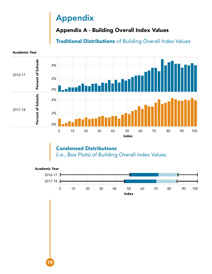# Appendix

# Appendix A - Building Overall Index Values

Traditional Distributions of Building Overall Index Values



<span id="page-18-0"></span>Academic Year

19

Condensed Distributions (i.e., Box Plots) of Building Overall Index Values

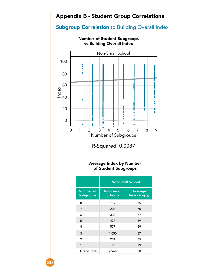### <span id="page-19-0"></span>Appendix B - Student Group Correlations

### **Subgroup Correlation to Building Overall Index**



R-Squared: 0.0037

#### Average Index by Number of Student Subgroups

|                                      | <b>Non-Small School</b>            |                                |  |  |  |  |
|--------------------------------------|------------------------------------|--------------------------------|--|--|--|--|
| <b>Number of</b><br><b>Subgroups</b> | <b>Number of</b><br><b>Schools</b> | <b>Average</b><br>Index (copy) |  |  |  |  |
| 8                                    | 119                                | 75                             |  |  |  |  |
| 7                                    | 207                                | 70                             |  |  |  |  |
| 6                                    | 338                                | 67                             |  |  |  |  |
| 5                                    | 437                                | 69                             |  |  |  |  |
| 4                                    | 577                                | 69                             |  |  |  |  |
| 3                                    | 1,050                              | 67                             |  |  |  |  |
| $\overline{2}$                       | 231                                | 65                             |  |  |  |  |
| 1                                    | 9                                  | 79                             |  |  |  |  |
| <b>Grand Total</b>                   | 2,968                              | 68                             |  |  |  |  |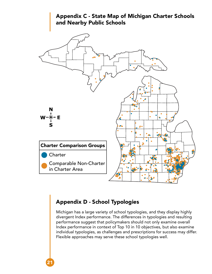<span id="page-20-0"></span>

### Appendix D - School Typologies

21

Michigan has a large variety of school typologies, and they display highly divergent Index performance. The differences in typologies and resulting performance suggest that policymakers should not only examine overall Index performance in context of Top 10 in 10 objectives, but also examine individual typologies, as challenges and prescriptions for success may differ. Flexible approaches may serve these school typologies well.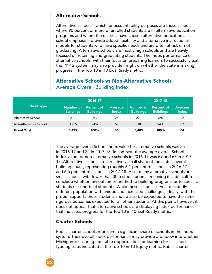#### <span id="page-21-0"></span>Alternative Schools

Alternative schools—which for accountability purposes are those schools where 90 percent or more of enrolled students are in alternative education programs and where the districts have chosen alternative education as a school emphasis—provide added flexibility and alternative instructional models for students who have specific needs and are often at risk of not graduating. Alternative schools are mostly high schools and are heavily focused on retaining and graduating students. The Index performance of alternative schools, with their focus on preparing learners to successfully exit the PK-12 system, may also provide insight on whether the state is making progress in the Top 10 in 10 Exit Ready metric.

### Alternative Schools vs Non-Alternative Schools Average Overall Building Index

|                        |                                      | 2016-17                               |                                | 2017-18                              |                                |                                |  |
|------------------------|--------------------------------------|---------------------------------------|--------------------------------|--------------------------------------|--------------------------------|--------------------------------|--|
| <b>School Type</b>     | <b>Number of</b><br><b>Buildings</b> | <b>Percent of</b><br><b>Buildings</b> | <b>Average</b><br><b>Index</b> | <b>Number of</b><br><b>Buildings</b> | Percent of<br><b>Buildings</b> | <b>Average</b><br><b>Index</b> |  |
| Alternative School     | 210                                  | 6%                                    | 25                             | 220                                  | 6%                             | 22                             |  |
| Non-Alternative School | 3,225                                | 94%                                   | 69                             | 3,185                                | 94%                            | 67                             |  |
| <b>Grand Total</b>     | 3,435                                | 100%                                  | 66                             | 3,405                                | 100%                           | 64                             |  |

The average overall School Index value for alternative schools was 25 in 2016-17 and 22 in 2017-18. In contrast, the average overall School Index value for non-alternative schools in 2016-17 was 69 and 67 in 2017- 18. Alternative schools are a relatively small share of the state's overall building count, representing roughly 6.1 percent of schools in 2016-17 and 6.5 percent of schools in 2017-18. Also, many alternative schools are small schools, with fewer than 30 tested students, meaning it is difficult to conclude whether low outcomes are tied to building programs or to specific students or cohorts of students. While these schools serve a decidedly different population with unique and increased challenges, ideally, with the proper supports these students should also be expected to have the same rigorous outcomes expected for all other students. At this point, however, it does not appear that alternative schools are displaying Index performance that indicates progress for the Top 10 in 10 Exit Ready metric.

### Charter Schools

22

Public charter schools represent a significant share of schools in the Index system. Their overall Index performance may provide a window into whether Michigan is ensuring equitable opportunities for learning for all school typologies as indicated in the Top 10 in 10 Equity metric. Public charter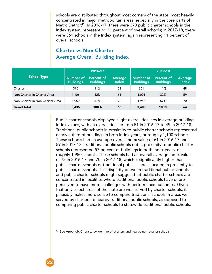schools are distributed throughout most corners of the state, most heavily concentrated in major metropolitan areas, especially in the core parts of Metro Detroit<sup>19</sup>. In 2016-17, there were 370 public charter schools in the Index system, representing 11 percent of overall schools; in 2017-18, there were 361 schools in the Index system, again representing 11 percent of overall schools.

### Charter vs Non-Charter Average Overall Building Index

|                                 |                                      | 2016-17                               |                                |                                      |                                       |                                |
|---------------------------------|--------------------------------------|---------------------------------------|--------------------------------|--------------------------------------|---------------------------------------|--------------------------------|
| <b>School Type</b>              | <b>Number of</b><br><b>Buildings</b> | <b>Percent of</b><br><b>Buildings</b> | <b>Average</b><br><b>Index</b> | <b>Number of</b><br><b>Buildings</b> | <b>Percent of</b><br><b>Buildings</b> | <b>Average</b><br><b>Index</b> |
| Charter                         | 370                                  | 11%                                   | 51                             | 361                                  | 11%                                   | 49                             |
| Non-Charter in Charter Area     | 1,106                                | 32%                                   | 61                             | 1.091                                | 32%                                   | 59                             |
| Non-Charter in Non-Charter Area | 1.959                                | 57%                                   | 72                             | 1,953                                | 57%                                   | 70                             |
| <b>Grand Total</b>              | 3,435                                | 100%                                  | 66                             | 3,405                                | 100%                                  | 64                             |

Public charter schools displayed slight overall declines in average building Index values, with an overall decline from 51 in 2016-17 to 49 in 2017-18. Traditional public schools in proximity to public charter schools represented nearly a third of buildings in both Index years, or roughly 1,100 schools. These schools had an average overall Index value of 61 in 2016-17 and 59 in 2017-18. Traditional public schools not in proximity to public charter schools represented 57 percent of buildings in both Index years, or roughly 1,950 schools. These schools had an overall average Index value of 72 in 2016-17 and 70 in 2017-18, which is significantly higher than public charter schools or traditional public schools located in proximity to public charter schools. This disparity between traditional public schools and public charter schools might suggest that public charter schools are concentrated in localities where traditional public schools have or are perceived to have more challenges with performance outcomes. Given that only select areas of the state are well served by charter schools, it plausibly makes more sense to compare traditional schools in areas well served by charters to nearby traditional public schools, as opposed to comparing public charter schools to statewide traditional public schools.

<sup>&</sup>lt;sup>19</sup> See Appendix C for statewide map of charters and nearby non-charter schools.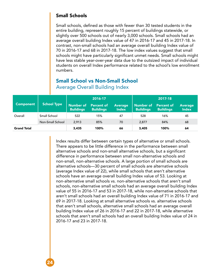#### <span id="page-23-0"></span>Small Schools

Small schools, defined as those with fewer than 30 tested students in the entire building, represent roughly 15 percent of buildings statewide, or slightly over 500 schools out of nearly 3,000 schools. Small schools had an average overall building Index value of 47 in 2016-17 and 45 in 2017-18. In contrast, non-small schools had an average overall building Index value of 70 in 2016-17 and 68 in 2017-18. The low index values suggest that small schools might have particularly significant unmet needs. Small schools might have less stable year-over-year data due to the outsized impact of individual students on overall Index performance related to the school's low enrollment numbers.

|                    |                    | 2016-17                       |                                       |                         | 2017-18                              |                                |                                |
|--------------------|--------------------|-------------------------------|---------------------------------------|-------------------------|--------------------------------------|--------------------------------|--------------------------------|
| <b>Component</b>   | <b>School Type</b> | Number of<br><b>Buildings</b> | <b>Percent of</b><br><b>Buildings</b> | <b>Average</b><br>Index | <b>Number of</b><br><b>Buildings</b> | Percent of<br><b>Buildings</b> | <b>Average</b><br><b>Index</b> |
| Overall            | Small School       | 522                           | 15%                                   | 47                      | 528                                  | 16%                            | 45                             |
|                    | Non-Small School   | 2,913                         | 85%                                   | 70                      | 2,877                                | 84%                            | 68                             |
| <b>Grand Total</b> |                    | 3,435                         | 100%                                  | 66                      | 3,405                                | 100%                           | 64                             |

### Small School vs Non-Small School Average Overall Building Index

Index results differ between certain types of alternative or small schools. There appears to be little difference in the performance between small alternative schools and non-small alternative schools, but a significant difference in performance between small non-alternative schools and non-small, non-alternative schools. A large portion of small schools are alternative schools—30 percent of small schools are alternative schools (average Index value of 22), while small schools that aren't alternative schools have an average overall building Index value of 53. Looking at non-alternative small schools vs. non-alternative schools that aren't small schools, non-alternative small schools had an average overall building Index value of 55 in 2016-17 and 53 in 2017-18, while non-alternative schools that aren't small schools had an overall building Index value of 71 in 2016-17 and 69 in 2017-18. Looking at small alternative schools vs. alternative schools that aren't small schools, alternative small schools had an average overall building Index value of 26 in 2016-17 and 22 in 2017-18, while alternative schools that aren't small schools had an overall building Index value of 24 in 2016-17 and 23 in 2017-18.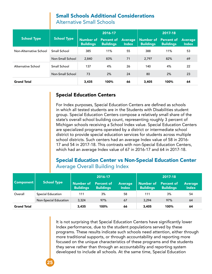### Small Schools Additional Considerations

Alternative Small Schools

<span id="page-24-0"></span>

|                        |                    | 2016-17          |                                          |                                | 2017-18          |                                                 |                                |  |
|------------------------|--------------------|------------------|------------------------------------------|--------------------------------|------------------|-------------------------------------------------|--------------------------------|--|
| <b>School Type</b>     | <b>School Type</b> | <b>Buildings</b> | Number of Percent of<br><b>Buildings</b> | <b>Average</b><br><b>Index</b> | <b>Buildings</b> | <b>Number of Percent of</b><br><b>Buildings</b> | <b>Average</b><br><b>Index</b> |  |
| Non-Alternative School | Small School       | 385              | 11%                                      | 55                             | 388              | 11%                                             | 53                             |  |
|                        | Non-Small School   | 2,840            | 83%                                      | 71                             | 2.797            | 82%                                             | 69                             |  |
| Alternative School     | Small School       | 137              | 4%                                       | 26                             | 140              | 4%                                              | 22                             |  |
|                        | Non-Small School   | 73               | 2%                                       | 24                             | 80               | 2%                                              | 23                             |  |
| <b>Grand Total</b>     |                    | 3,435            | 100%                                     | 66                             | 3,405            | 100%                                            | 64                             |  |

#### Special Education Centers

25

For Index purposes, Special Education Centers are defined as schools in which all tested students are in the Students with Disabilities student group. Special Education Centers compose a relatively small share of the state's overall school building count, representing roughly 3 percent of Michigan schools receiving a School Index value. Special Education Centers are specialized programs operated by a district or intermediate school district to provide special education services for students across multiple school districts. Such centers had an average Index value of 58 in 2016- 17 and 54 in 2017-18. This contrasts with non-Special Education Centers, which had an average Index value of 67 in 2016-17 and 64 in 2017-18.

### Special Education Center vs Non-Special Education Center Average Overall Building Index

|                    |                              |                                      | $ 2016-17 $                    |                                | 2017-18                       |                                       |                                |  |
|--------------------|------------------------------|--------------------------------------|--------------------------------|--------------------------------|-------------------------------|---------------------------------------|--------------------------------|--|
| <b>Component</b>   | <b>School Type</b>           | <b>Number of</b><br><b>Buildings</b> | Percent of<br><b>Buildings</b> | <b>Average</b><br><b>Index</b> | Number of<br><b>Buildings</b> | <b>Percent of</b><br><b>Buildings</b> | <b>Average</b><br><b>Index</b> |  |
| Overall            | <b>Special Education</b>     | 111                                  | 3%                             | 58                             | 111                           | 3%                                    | 54                             |  |
|                    | <b>Non-Special Education</b> | 3,324                                | 97%                            | 67                             | 3,294                         | 97%                                   | 64                             |  |
| <b>Grand Total</b> |                              | 3,435                                | 100%                           | 66                             | 3,405                         | 100%                                  | 64                             |  |

It is not surprising that Special Education Centers have significantly lower Index performance, due to the student populations served by these programs. These results indicate such schools need attention, either through more traditional supports, or through accountability and reporting more focused on the unique characteristics of these programs and the students they serve rather than through an accountability and reporting system developed to include all schools. At the same time, Special Education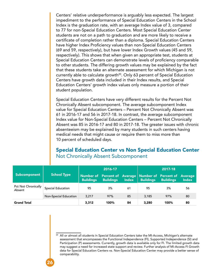Centers' relative underperformance is arguably less expected. The largest impediment to the performance of Special Education Centers in the School Index is the graduation rate, with an average Index value of 3, compared to 77 for non-Special Education Centers. Most Special Education Center students are not on a path to graduation and are more likely to receive a certificate of completion rather than a diploma. Special Education Centers have higher Index Proficiency values than non-Special Education Centers (69 and 59, respectively), but have lower Index Growth values (45 and 59, respectively). This shows that when given an appropriate test, students at Special Education Centers can demonstrate levels of proficiency comparable to other students. The differing growth values may be explained by the fact that these students take an alternate assessment for which Michigan is not currently able to calculate growth<sup>20</sup>. Only 63 percent of Special Education Centers have growth data included in their Index results, and Special Education Centers' growth index values only measure a portion of their student population.

Special Education Centers have very different results for the Percent Not Chronically Absent subcomponent. The average subcomponent Index value for Special Education Centers – Percent Not Chronically Absent was 61 in 2016-17 and 56 in 2017-18. In contrast, the average subcomponent Index value for Non-Special Education Centers – Percent Not Chronically Absent was 85 in 2016-17 and 80 in 2017-18. The greater issues with chronic absenteeism may be explained by many students in such centers having medical needs that might cause or require them to miss more than 10 percent of scheduled days.

### Special Education Center vs Non Special Education Center Not Chronically Absent Subcomponent

|                                      |                              | 2016-17                       |                  |              | 2017-18                                                              |                  |                                |  |
|--------------------------------------|------------------------------|-------------------------------|------------------|--------------|----------------------------------------------------------------------|------------------|--------------------------------|--|
| Subcomponent                         | <b>School Type</b>           | Number of<br><b>Buildings</b> | <b>Buildings</b> | <b>Index</b> | <b>Percent of Average   Number of Percent of</b><br><b>Buildings</b> | <b>Buildings</b> | <b>Average</b><br><b>Index</b> |  |
| <b>Pct Not Chronically</b><br>Absent | <b>Special Education</b>     | 95                            | 3%               | 61           | 95                                                                   | 3%               | 56                             |  |
|                                      | <b>Non-Special Education</b> | 3,217                         | 97%              | 85           | 3,185                                                                | 97%              | 80                             |  |
| <b>Grand Total</b>                   |                              | 3,312                         | 100%             | 84           | 3,280                                                                | 100%             | 80                             |  |

<sup>&</sup>lt;sup>20</sup> All or almost all students in Special Education Centers take the MI-Access, Michigan's alternate assessment that encompasses the Functional Independence (FI), Supported Independence (SI) and Participation (P) assessments. Currently, growth data is available only for FI. The limited growth data may suggest a need for increased state support and review. Further analysis of MI-Access FI Growth data for Special Education Centers vs. Non-Special Education Center may provide a better sense of comparability.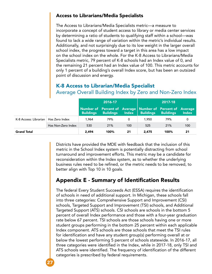#### <span id="page-26-0"></span>Access to Librarians/Media Specialists

The Access to Librarians/Media Specialists metric—a measure to incorporate a concept of student access to library or media center services by determining a ratio of students to qualifying staff within a school—was found to lack a wide range of variation within the metric's individual results. Additionally, and not surprisingly due to its low weight in the larger overall school index, the progress toward a target in this area has a low impact on the school index on the whole. For the K-8 Access to Librarians/Media Specialists metric, 79 percent of K-8 schools had an Index value of 0, and the remaining 21 percent had an Index value of 100. This metric accounts for only 1 percent of a building's overall Index score, but has been an outsized point of discussion and energy.

|                                        | <u>~</u>           |                  |                  |              |                                                                               |                  |              |
|----------------------------------------|--------------------|------------------|------------------|--------------|-------------------------------------------------------------------------------|------------------|--------------|
|                                        |                    | 2016-17          |                  |              |                                                                               | 2017-18          |              |
|                                        |                    | <b>Buildings</b> | <b>Buildings</b> | <b>Index</b> | Number of Percent of Average Number of Percent of Average<br><b>Buildings</b> | <b>Buildings</b> | <b>Index</b> |
| K-8 Access: Librarian   Has Zero Index |                    | 1.964            | 79%              | 0            | 1,950                                                                         | 79%              | 0            |
|                                        | Has Non-Zero Index | 530              | 21%              | 100          | 525                                                                           | 21%              | 100          |
| <b>Grand Total</b>                     |                    | 2,494            | 100%             | 21           | 2,475                                                                         | 100%             | 21           |

#### K-8 Access to Librarian/Media Specialist Average Overall Building Index by Zero and Non-Zero Index

Districts have provided the MDE with feedback that the inclusion of this metric in the School Index system is potentially distracting from school turnaround and improvement efforts. This metric may be a candidate for reconsideration within the Index system, as to whether the underlying business rules need to be refined, or the metric needs to be removed, to better align with Top 10 in 10 goals.

### Appendix E - Summary of Identification Results

The federal Every Student Succeeds Act (ESSA) requires the identification of schools in need of additional support. In Michigan, these schools fall into three categories: Comprehensive Support and Improvement (CSI) schools, Targeted Support and Improvement (TSI) schools, and Additional Targeted Support (ATS) schools. CSI schools are schools in the bottom 5 percent of overall Index performance and those with a four-year graduation rate below 67 percent. TSI schools are those schools having one or more student groups performing in the bottom 25 percent within each applicable Index component. ATS schools are those schools that meet the TSI rules for identification and have any student group(s) performing overall at or below the lowest performing 5 percent of schools statewide. In 2016-17, all three categories were identified in the Index, while in 2017-18, only TSI and ATS schools were identified. The frequency of identification of the different categories is prescribed by federal requirements.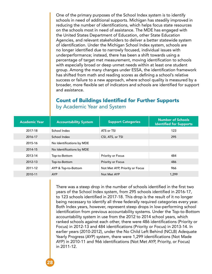One of the primary purposes of the School Index system is to identify schools in need of additional supports. Michigan has steadily improved in reducing the number of identifications, which helps focus state resources on the schools most in need of assistance. The MDE has engaged with the United States Department of Education, other State Education Agencies, and relevant stakeholders to deliver a better statewide system of identification. Under the Michigan School Index system, schools are no longer identified due to narrowly focused, individual issues with underperformance; instead, there has been a shift towards using a percentage of target met measurement, moving identification to schools with especially broad or deep unmet needs within at least one student group. Among the many changes under ESSA, the identification framework has shifted from math and reading scores as defining a school's relative success or failure to a new approach, where school quality is measured by a broader, more flexible set of indicators and schools are identified for support and assistance.

### Count of Buildings Identified for Further Supports by Academic Year and System

| <b>Academic Year</b> | <b>Accountability System</b> | <b>Support Categories</b>      | <b>Number of Schools</b><br><b>Identified for Supports</b> |
|----------------------|------------------------------|--------------------------------|------------------------------------------------------------|
| 2017-18              | School Index                 | ATS or TSI                     | 123                                                        |
| 2016-17              | School Index                 | CSI, ATS, or TSI               | 295                                                        |
| 2015-16              | No Identifications by MDE    |                                |                                                            |
| 2014-15              | No Identifications by MDE    |                                |                                                            |
| 2013-14              | Top-to-Bottom                | Priority or Focus              | 484                                                        |
| 2012-13              | Top-to-Bottom                | Priority or Focus              | 486                                                        |
| 2011-12              | AYP & Top-to-Bottom          | Not Met AYP, Priority or Focus | 966                                                        |
| 2010-11              | <b>AYP</b>                   | Not Met AYP                    | 1,299                                                      |

There was a steep drop in the number of schools identified in the first two years of the School Index system, from 295 schools identified in 2016-17, to 123 schools identified in 2017-18. This drop is the result of it no longer being necessary to identify all three federally required categories every year. Both Index years, however, represent steep drops in low-performing school identification from previous accountability systems. Under the Top-to-Bottom accountability system in use from the 2012 to 2014 school years, which ranked schools against each other, there were 486 identifications (Priority or Focus) in 2012-13 and 484 identifications (Priority or Focus) in 2013-14. In earlier years (2010-2012), under the No Child Left Behind (NCLB) Adequate Yearly Progress (AYP) system, there were 1,299 identifications (Not Made AYP) in 2010-11 and 966 identifications (Not Met AYP, Priority, or Focus) in 2011-12.